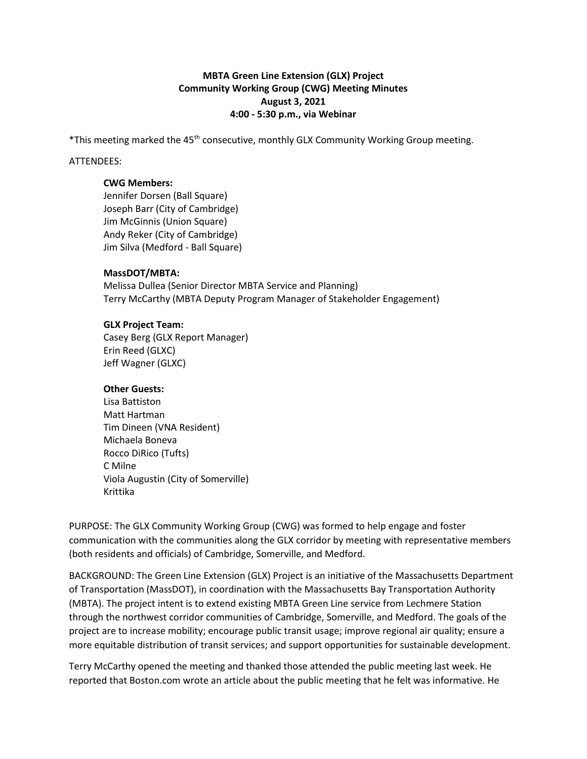# **MBTA Green Line Extension (GLX) Project Community Working Group (CWG) Meeting Minutes August 3, 2021 4:00 - 5:30 p.m., via Webinar**

\*This meeting marked the 45<sup>th</sup> consecutive, monthly GLX Community Working Group meeting.

### ATTENDEES:

### **CWG Members:**

Jennifer Dorsen (Ball Square) Joseph Barr (City of Cambridge) Jim McGinnis (Union Square) Andy Reker (City of Cambridge) Jim Silva (Medford - Ball Square)

### **MassDOT/MBTA:**

Melissa Dullea (Senior Director MBTA Service and Planning) Terry McCarthy (MBTA Deputy Program Manager of Stakeholder Engagement)

### **GLX Project Team:**

Casey Berg (GLX Report Manager) Erin Reed (GLXC) Jeff Wagner (GLXC)

### **Other Guests:**

Lisa Battiston Matt Hartman Tim Dineen (VNA Resident) Michaela Boneva Rocco DiRico (Tufts) C Milne Viola Augustin (City of Somerville) Krittika

PURPOSE: The GLX Community Working Group (CWG) was formed to help engage and foster communication with the communities along the GLX corridor by meeting with representative members (both residents and officials) of Cambridge, Somerville, and Medford.

BACKGROUND: The Green Line Extension (GLX) Project is an initiative of the Massachusetts Department of Transportation (MassDOT), in coordination with the Massachusetts Bay Transportation Authority (MBTA). The project intent is to extend existing MBTA Green Line service from Lechmere Station through the northwest corridor communities of Cambridge, Somerville, and Medford. The goals of the project are to increase mobility; encourage public transit usage; improve regional air quality; ensure a more equitable distribution of transit services; and support opportunities for sustainable development.

Terry McCarthy opened the meeting and thanked those attended the public meeting last week. He reported that Boston.com wrote an article about the public meeting that he felt was informative. He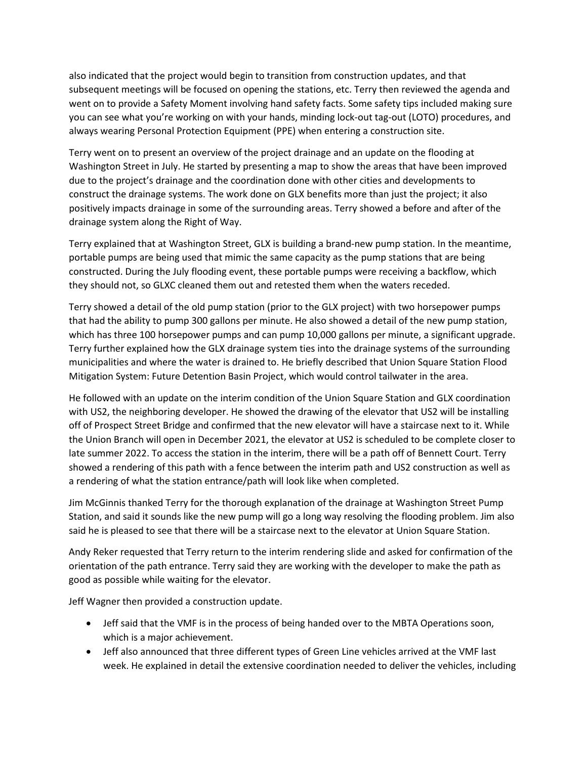also indicated that the project would begin to transition from construction updates, and that subsequent meetings will be focused on opening the stations, etc. Terry then reviewed the agenda and went on to provide a Safety Moment involving hand safety facts. Some safety tips included making sure you can see what you're working on with your hands, minding lock-out tag-out (LOTO) procedures, and always wearing Personal Protection Equipment (PPE) when entering a construction site.

Terry went on to present an overview of the project drainage and an update on the flooding at Washington Street in July. He started by presenting a map to show the areas that have been improved due to the project's drainage and the coordination done with other cities and developments to construct the drainage systems. The work done on GLX benefits more than just the project; it also positively impacts drainage in some of the surrounding areas. Terry showed a before and after of the drainage system along the Right of Way.

Terry explained that at Washington Street, GLX is building a brand-new pump station. In the meantime, portable pumps are being used that mimic the same capacity as the pump stations that are being constructed. During the July flooding event, these portable pumps were receiving a backflow, which they should not, so GLXC cleaned them out and retested them when the waters receded.

Terry showed a detail of the old pump station (prior to the GLX project) with two horsepower pumps that had the ability to pump 300 gallons per minute. He also showed a detail of the new pump station, which has three 100 horsepower pumps and can pump 10,000 gallons per minute, a significant upgrade. Terry further explained how the GLX drainage system ties into the drainage systems of the surrounding municipalities and where the water is drained to. He briefly described that Union Square Station Flood Mitigation System: Future Detention Basin Project, which would control tailwater in the area.

He followed with an update on the interim condition of the Union Square Station and GLX coordination with US2, the neighboring developer. He showed the drawing of the elevator that US2 will be installing off of Prospect Street Bridge and confirmed that the new elevator will have a staircase next to it. While the Union Branch will open in December 2021, the elevator at US2 is scheduled to be complete closer to late summer 2022. To access the station in the interim, there will be a path off of Bennett Court. Terry showed a rendering of this path with a fence between the interim path and US2 construction as well as a rendering of what the station entrance/path will look like when completed.

Jim McGinnis thanked Terry for the thorough explanation of the drainage at Washington Street Pump Station, and said it sounds like the new pump will go a long way resolving the flooding problem. Jim also said he is pleased to see that there will be a staircase next to the elevator at Union Square Station.

Andy Reker requested that Terry return to the interim rendering slide and asked for confirmation of the orientation of the path entrance. Terry said they are working with the developer to make the path as good as possible while waiting for the elevator.

Jeff Wagner then provided a construction update.

- Jeff said that the VMF is in the process of being handed over to the MBTA Operations soon, which is a major achievement.
- Jeff also announced that three different types of Green Line vehicles arrived at the VMF last week. He explained in detail the extensive coordination needed to deliver the vehicles, including